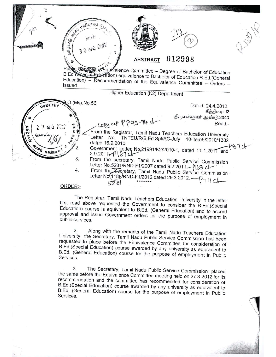

 $1, 1, 2, ...$ 

, <. .. \_ ..

 $\sqrt{2}$ *<u>GUT</u> @* 

**10 10 1112 1944** 



# $\frac{1}{2}$   $\left( \frac{30 \text{ s}^2}{4} \right)^{3}$  **ABSTRACT** 012998 **ABSTRACT**

Public Services we quivalence Committee - Degree of Bachelor of Education B.Ed **Special Education**) equivalence to Bachelor of Education B.Ed.(General  $Education) - Recommendation of the Equivalence Committee - Orders -$ Issued.

### Higher Education (K2) Department

 $27$  ou  $23$ :  $3$   $10$   $10$   $10$   $10$   $10$   $10$   $10$   $10$   $10$   $10$   $10$   $10$   $10$   $10$   $10$   $10$   $10$   $10$   $10$   $10$   $10$   $10$   $-$ 

 $\lambda$ 

} .

*V* ry'(\ *OJ f;'~/----':..;q, .* (' ~ ,,\.1'0) *i ~*

4.

~.(MS).No.56 Dated: 24.4.2012.  $\frac{d}{dt}$   $\frac{d}{dt}$ .•) சித்திரை—12<br>92.043.pdf ஆண்டு

From the Registrar, Tamil Nadu Teachers Education University **2006 2010/1382**<br>dated 16.9.2010.<br> $\begin{bmatrix} 1 & 0 \\ 0 & 1 \end{bmatrix}$  . The page of the dated 16.9.2010. "" Usefully n<sup>ote</sup> (2. Government Letter No.21991/K2/2010-1, dated 11.1.2011 and <sup>0</sup> 39 U-<br>2.9.2011. pl(67 u.

3. From the secretary, Tamil Nadu Public Service Commission Letter No.5281/RND-F1/2007 dated 9.2.2011  $-\ell$  163 cb-

From the Secretary, Tamil Nadu Public Service Commission Trom the Secretary, Tamil Nadu Public Service<br>Letter No(1188/RND-F1/2012 dated 29.3.2012. --- D Commi<br><sup>)</sup>7Ⅱ C **~~, \*\*\*\*\*\*\*\* \ ~**

#### ORDER:-

The Registrar, Tamil Nadu Teachers Education University in the letter first read above requested the Government to consider the B.Ed.(Special Education) course is equivalent to REd. (General Education) and to accord approval and issue Government orders for the purpose of employment in public services.

2. Along with the remarks of the Tamil Nadu Teachers Education University the Secretary, Tamil Nadu Public Service Commission has been requested to place before the Equivalence Committee for consideration of B.Ed.(Special Education) course awarded by any university as equivalent to B.Ed. (General Education) course for the purpose of employment in Public Services.

3. The Secretary, Tamil Nadu Public Service Commission placed the same before the Equivalence Committee meeting held on 27.3.2012 for its recommendation and the committee has recommended for consideration of B.Ed.(Special Education) course awarded by any university as equivalent to B.Ed. (General Education) course for the purpose of employment in Public Services.